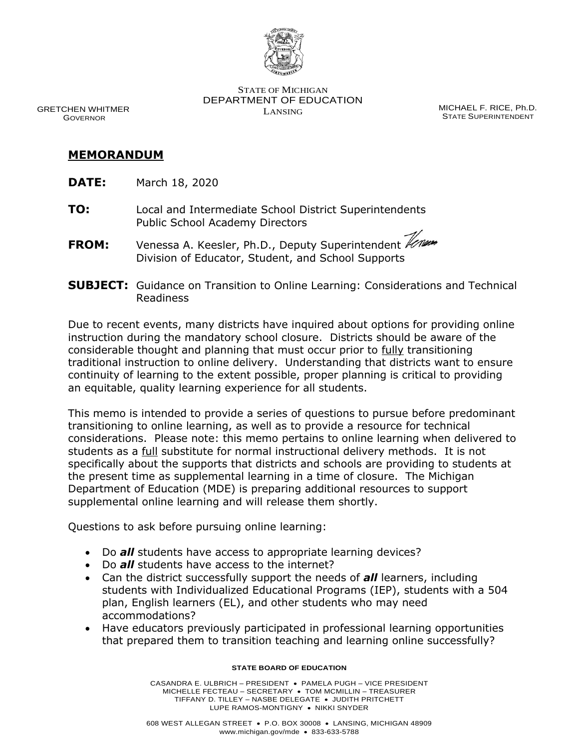

 DEPARTMENT OF EDUCATION STATE OF MICHIGAN GRETCHEN WHITMER **GRETCHEN WHITMER SECULIARITY OF EDUCATION**<br>GOVERNOR **MICHAEL F. RICE, Ph.D.** LANSING **STATE SUPERINTENDENT** 

**STATE SUPERINTENDENT** 

## **MEMORANDUM**

- **DATE:** March 18, 2020
- **TO:** Local and Intermediate School District Superintendents Public School Academy Directors
- **FROM:** Venessa A. Keesler, Ph.D., Deputy Superintendent Division of Educator, Student, and School Supports
- **SUBJECT:** Guidance on Transition to Online Learning: Considerations and Technical Readiness

 Due to recent events, many districts have inquired about options for providing online instruction during the mandatory school closure. Districts should be aware of the considerable thought and planning that must occur prior to fully transitioning traditional instruction to online delivery. Understanding that districts want to ensure an equitable, quality learning experience for all students. continuity of learning to the extent possible, proper planning is critical to providing

 This memo is intended to provide a series of questions to pursue before predominant considerations. Please note: this memo pertains to online learning when delivered to students as a full substitute for normal instructional delivery methods. It is not specifically about the supports that districts and schools are providing to students at the present time as supplemental learning in a time of closure. The Michigan supplemental online learning and will release them shortly. transitioning to online learning, as well as to provide a resource for technical Department of Education (MDE) is preparing additional resources to support

Questions to ask before pursuing online learning:

- Do *all* students have access to appropriate learning devices?
- Do *all* students have access to the internet?
- • Can the district successfully support the needs of *all* learners, including students with Individualized Educational Programs (IEP), students with a 504 plan, English learners (EL), and other students who may need accommodations?
- that prepared them to transition teaching and learning online successfully? • Have educators previously participated in professional learning opportunities

## **STATE BOARD OF EDUCATION**

 MICHELLE FECTEAU – SECRETARY • TOM MCMILLIN – TREASURER TIFFANY D. TILLEY – NASBE DELEGATE • JUDITH PRITCHETT LUPE RAMOS-MONTIGNY • NIKKI SNYDER CASANDRA E. ULBRICH – PRESIDENT • PAMELA PUGH – VICE PRESIDENT